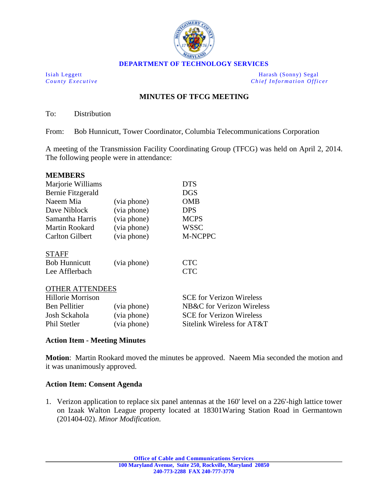

Isiah Leggett Harash (Sonny) Segal *County Executive Chief Information Officer*

## **MINUTES OF TFCG MEETING**

To: Distribution

From: Bob Hunnicutt, Tower Coordinator, Columbia Telecommunications Corporation

A meeting of the Transmission Facility Coordinating Group (TFCG) was held on April 2, 2014. The following people were in attendance:

| <b>MEMBERS</b>           |             |                                 |
|--------------------------|-------------|---------------------------------|
| Marjorie Williams        |             | <b>DTS</b>                      |
| Bernie Fitzgerald        |             | DGS                             |
| Naeem Mia                | (via phone) | <b>OMB</b>                      |
| Dave Niblock             | (via phone) | <b>DPS</b>                      |
| Samantha Harris          | (via phone) | <b>MCPS</b>                     |
| Martin Rookard           | (via phone) | <b>WSSC</b>                     |
| <b>Carlton Gilbert</b>   | (via phone) | <b>M-NCPPC</b>                  |
| <b>STAFF</b>             |             |                                 |
| <b>Bob Hunnicutt</b>     | (via phone) | <b>CTC</b>                      |
| Lee Afflerbach           |             | <b>CTC</b>                      |
| <b>OTHER ATTENDEES</b>   |             |                                 |
| <b>Hillorie Morrison</b> |             | <b>SCE</b> for Verizon Wireless |
| <b>Ben Pellitier</b>     | (via phone) | NB&C for Verizon Wireless       |
| Josh Sckahola            | (via phone) | <b>SCE</b> for Verizon Wireless |
| <b>Phil Stetler</b>      | (via phone) | Sitelink Wireless for AT&T      |

## **Action Item - Meeting Minutes**

**Motion**: Martin Rookard moved the minutes be approved. Naeem Mia seconded the motion and it was unanimously approved.

## **Action Item: Consent Agenda**

1. Verizon application to replace six panel antennas at the 160' level on a 226'-high lattice tower on Izaak Walton League property located at 18301Waring Station Road in Germantown (201404-02). *Minor Modification*.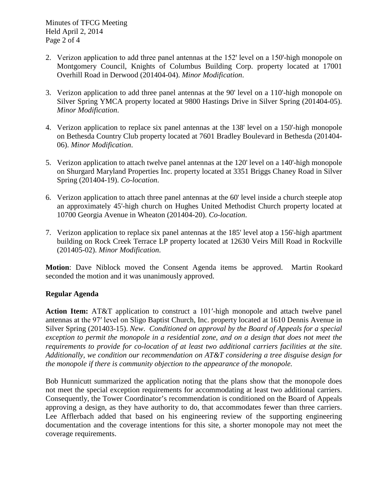Minutes of TFCG Meeting Held April 2, 2014 Page 2 of 4

- 2. Verizon application to add three panel antennas at the  $152'$  level on a  $150'$ -high monopole on Montgomery Council, Knights of Columbus Building Corp. property located at 17001 Overhill Road in Derwood (201404-04). *Minor Modification*.
- 3. Verizon application to add three panel antennas at the 90' level on a 110'-high monopole on Silver Spring YMCA property located at 9800 Hastings Drive in Silver Spring (201404-05). *Minor Modification*.
- 4. Verizon application to replace six panel antennas at the 138' level on a 150'-high monopole on Bethesda Country Club property located at 7601 Bradley Boulevard in Bethesda (201404- 06). *Minor Modification*.
- 5. Verizon application to attach twelve panel antennas at the 120' level on a 140'-high monopole on Shurgard Maryland Properties Inc. property located at 3351 Briggs Chaney Road in Silver Spring (201404-19). *Co-location*.
- 6. Verizon application to attach three panel antennas at the 60' level inside a church steeple atop an approximately 45'-high church on Hughes United Methodist Church property located at 10700 Georgia Avenue in Wheaton (201404-20). *Co-location*.
- 7. Verizon application to replace six panel antennas at the 185' level atop a 156'-high apartment building on Rock Creek Terrace LP property located at 12630 Veirs Mill Road in Rockville (201405-02). *Minor Modification*.

**Motion**: Dave Niblock moved the Consent Agenda items be approved. Martin Rookard seconded the motion and it was unanimously approved.

## **Regular Agenda**

**Action Item:** AT&T application to construct a 101ʹ-high monopole and attach twelve panel antennas at the 97ʹ level on Sligo Baptist Church, Inc. property located at 1610 Dennis Avenue in Silver Spring (201403-15). *New*. *Conditioned on approval by the Board of Appeals for a special exception to permit the monopole in a residential zone, and on a design that does not meet the requirements to provide for co-location of at least two additional carriers facilities at the site. Additionally, we condition our recommendation on AT&T considering a tree disguise design for the monopole if there is community objection to the appearance of the monopole.* 

Bob Hunnicutt summarized the application noting that the plans show that the monopole does not meet the special exception requirements for accommodating at least two additional carriers. Consequently, the Tower Coordinator's recommendation is conditioned on the Board of Appeals approving a design, as they have authority to do, that accommodates fewer than three carriers. Lee Afflerbach added that based on his engineering review of the supporting engineering documentation and the coverage intentions for this site, a shorter monopole may not meet the coverage requirements.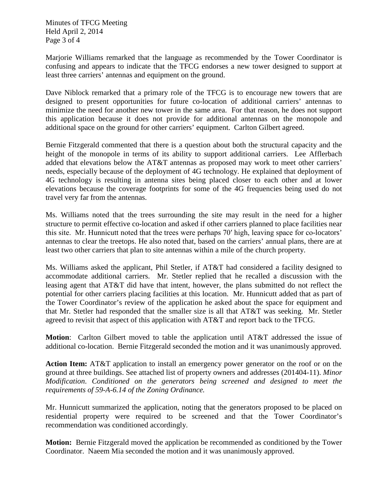Minutes of TFCG Meeting Held April 2, 2014 Page 3 of 4

Marjorie Williams remarked that the language as recommended by the Tower Coordinator is confusing and appears to indicate that the TFCG endorses a new tower designed to support at least three carriers' antennas and equipment on the ground.

Dave Niblock remarked that a primary role of the TFCG is to encourage new towers that are designed to present opportunities for future co-location of additional carriers' antennas to minimize the need for another new tower in the same area. For that reason, he does not support this application because it does not provide for additional antennas on the monopole and additional space on the ground for other carriers' equipment. Carlton Gilbert agreed.

Bernie Fitzgerald commented that there is a question about both the structural capacity and the height of the monopole in terms of its ability to support additional carriers. Lee Afflerbach added that elevations below the AT&T antennas as proposed may work to meet other carriers' needs, especially because of the deployment of 4G technology. He explained that deployment of 4G technology is resulting in antenna sites being placed closer to each other and at lower elevations because the coverage footprints for some of the 4G frequencies being used do not travel very far from the antennas.

Ms. Williams noted that the trees surrounding the site may result in the need for a higher structure to permit effective co-location and asked if other carriers planned to place facilities near this site. Mr. Hunnicutt noted that the trees were perhaps 70ʹ high, leaving space for co-locators' antennas to clear the treetops. He also noted that, based on the carriers' annual plans, there are at least two other carriers that plan to site antennas within a mile of the church property.

Ms. Williams asked the applicant, Phil Stetler, if AT&T had considered a facility designed to accommodate additional carriers. Mr. Stetler replied that he recalled a discussion with the leasing agent that AT&T did have that intent, however, the plans submitted do not reflect the potential for other carriers placing facilities at this location. Mr. Hunnicutt added that as part of the Tower Coordinator's review of the application he asked about the space for equipment and that Mr. Stetler had responded that the smaller size is all that AT&T was seeking. Mr. Stetler agreed to revisit that aspect of this application with AT&T and report back to the TFCG.

**Motion**: Carlton Gilbert moved to table the application until AT&T addressed the issue of additional co-location. Bernie Fitzgerald seconded the motion and it was unanimously approved.

**Action Item:** AT&T application to install an emergency power generator on the roof or on the ground at three buildings. See attached list of property owners and addresses (201404-11). *Minor Modification*. *Conditioned on the generators being screened and designed to meet the requirements of 59-A-6.14 of the Zoning Ordinance.*

Mr. Hunnicutt summarized the application, noting that the generators proposed to be placed on residential property were required to be screened and that the Tower Coordinator's recommendation was conditioned accordingly.

**Motion:** Bernie Fitzgerald moved the application be recommended as conditioned by the Tower Coordinator. Naeem Mia seconded the motion and it was unanimously approved.